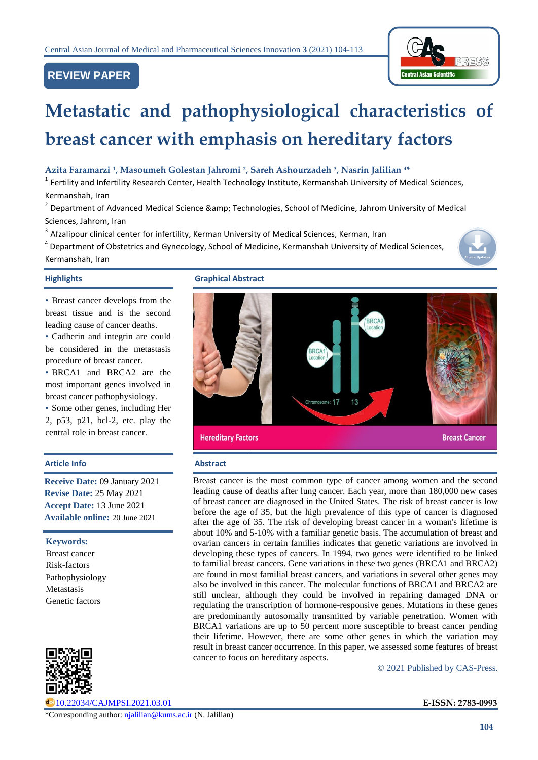# **REVIEW PAPER**



# **Metastatic and pathophysiological characteristics of breast cancer with emphasis on hereditary factors**

# **Azita Faramarzi <sup>1</sup> , Masoumeh Golestan Jahromi <sup>2</sup> , Sareh Ashourzadeh <sup>3</sup> , Nasrin Jalilian <sup>4</sup>\***

<sup>1</sup> Fertility and Infertility Research Center, Health Technology Institute, Kermanshah University of Medical Sciences, Kermanshah, Iran

<sup>2</sup> Department of Advanced Medical Science &amp; Technologies, School of Medicine, Jahrom University of Medical Sciences, Jahrom, Iran

 $3$  Afzalipour clinical center for infertility, Kerman University of Medical Sciences, Kerman, Iran

<sup>4</sup> Department of Obstetrics and Gynecology, School of Medicine, Kermanshah University of Medical Sciences, Kermanshah, Iran



• Breast cancer develops from the breast tissue and is the second leading cause of cancer deaths.

• Cadherin and integrin are could be considered in the metastasis procedure of breast cancer.

• BRCA1 and BRCA2 are the most important genes involved in breast cancer pathophysiology.

• Some other genes, including Her 2, p53, p21, bcl-2, etc. play the central role in breast cancer.

# **Article Info Abstract**

**Receive Date:** 09 January 2021 **Revise Date:** 25 May 2021 **Accept Date:** 13 June 2021 **Available online:** 20 June 2021

**Keywords:** 

Breast cancer Risk-factors Pathophysiology Metastasis Genetic factors



[10.22034/CAJMPSI.2021.03.01](http://www.cajmpsi.com/article_131715.html) **E-ISSN: 2783-0993**

**Highlights Graphical Abstract**



Breast cancer is the most common type of cancer among women and the second leading cause of deaths after lung cancer. Each year, more than 180,000 new cases of breast cancer are diagnosed in the United States. The risk of breast cancer is low before the age of 35, but the high prevalence of this type of cancer is diagnosed after the age of 35. The risk of developing breast cancer in a woman's lifetime is about 10% and 5-10% with a familiar genetic basis. The accumulation of breast and ovarian cancers in certain families indicates that genetic variations are involved in developing these types of cancers. In 1994, two genes were identified to be linked to familial breast cancers. Gene variations in these two genes (BRCA1 and BRCA2) are found in most familial breast cancers, and variations in several other genes may also be involved in this cancer. The molecular functions of BRCA1 and BRCA2 are still unclear, although they could be involved in repairing damaged DNA or regulating the transcription of hormone-responsive genes. Mutations in these genes are predominantly autosomally transmitted by variable penetration. Women with BRCA1 variations are up to 50 percent more susceptible to breast cancer pending their lifetime. However, there are some other genes in which the variation may result in breast cancer occurrence. In this paper, we assessed some features of breast cancer to focus on hereditary aspects.

© 2021 Published by CAS-Press.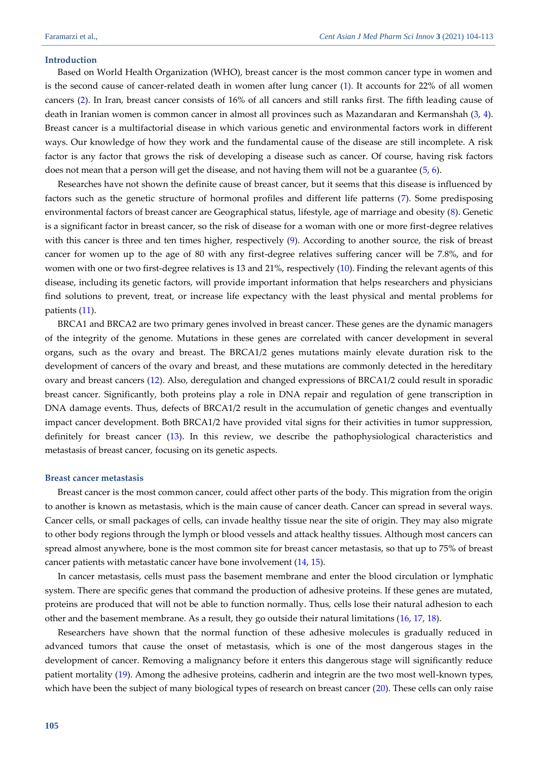### **Introduction**

Based on World Health Organization (WHO), breast cancer is the most common cancer type in women and is the second cause of cancer-related death in women after lung cancer [\(1\)](#page-6-0). It accounts for 22% of all women cancers [\(2\)](#page-6-1). In Iran, breast cancer consists of 16% of all cancers and still ranks first. The fifth leading cause of death in Iranian women is common cancer in almost all provinces such as Mazandaran and Kermanshah [\(3,](#page-6-2) [4\)](#page-6-3). Breast cancer is a multifactorial disease in which various genetic and environmental factors work in different ways. Our knowledge of how they work and the fundamental cause of the disease are still incomplete. A risk factor is any factor that grows the risk of developing a disease such as cancer. Of course, having risk factors does not mean that a person will get the disease, and not having them will not be a guarantee [\(5,](#page-6-4) [6\)](#page-6-5).

Researches have not shown the definite cause of breast cancer, but it seems that this disease is influenced by factors such as the genetic structure of hormonal profiles and different life patterns [\(7\)](#page-6-6). Some predisposing environmental factors of breast cancer are Geographical status, lifestyle, age of marriage and obesity [\(8\)](#page-6-7). Genetic is a significant factor in breast cancer, so the risk of disease for a woman with one or more first-degree relatives with this cancer is three and ten times higher, respectively [\(9\)](#page-6-8). According to another source, the risk of breast cancer for women up to the age of 80 with any first-degree relatives suffering cancer will be 7.8%, and for women with one or two first-degree relatives is 13 and 21%, respectively [\(10\)](#page-6-9). Finding the relevant agents of this disease, including its genetic factors, will provide important information that helps researchers and physicians find solutions to prevent, treat, or increase life expectancy with the least physical and mental problems for patients [\(11\)](#page-6-10).

BRCA1 and BRCA2 are two primary genes involved in breast cancer. These genes are the dynamic managers of the integrity of the genome. Mutations in these genes are correlated with cancer development in several organs, such as the ovary and breast. The BRCA1/2 genes mutations mainly elevate duration risk to the development of cancers of the ovary and breast, and these mutations are commonly detected in the hereditary ovary and breast cancers [\(12\)](#page-6-11). Also, deregulation and changed expressions of BRCA1/2 could result in sporadic breast cancer. Significantly, both proteins play a role in DNA repair and regulation of gene transcription in DNA damage events. Thus, defects of BRCA1/2 result in the accumulation of genetic changes and eventually impact cancer development. Both BRCA1/2 have provided vital signs for their activities in tumor suppression, definitely for breast cancer [\(13\)](#page-6-12). In this review, we describe the pathophysiological characteristics and metastasis of breast cancer, focusing on its genetic aspects.

# **Breast cancer metastasis**

Breast cancer is the most common cancer, could affect other parts of the body. This migration from the origin to another is known as metastasis, which is the main cause of cancer death. Cancer can spread in several ways. Cancer cells, or small packages of cells, can invade healthy tissue near the site of origin. They may also migrate to other body regions through the lymph or blood vessels and attack healthy tissues. Although most cancers can spread almost anywhere, bone is the most common site for breast cancer metastasis, so that up to 75% of breast cancer patients with metastatic cancer have bone involvement [\(14,](#page-6-13) [15\)](#page-7-0).

In cancer metastasis, cells must pass the basement membrane and enter the blood circulation or lymphatic system. There are specific genes that command the production of adhesive proteins. If these genes are mutated, proteins are produced that will not be able to function normally. Thus, cells lose their natural adhesion to each other and the basement membrane. As a result, they go outside their natural limitations [\(16,](#page-7-1) [17,](#page-7-2) [18\)](#page-7-3).

Researchers have shown that the normal function of these adhesive molecules is gradually reduced in advanced tumors that cause the onset of metastasis, which is one of the most dangerous stages in the development of cancer. Removing a malignancy before it enters this dangerous stage will significantly reduce patient mortality [\(19\)](#page-7-4). Among the adhesive proteins, cadherin and integrin are the two most well-known types, which have been the subject of many biological types of research on breast cancer [\(20\)](#page-7-5). These cells can only raise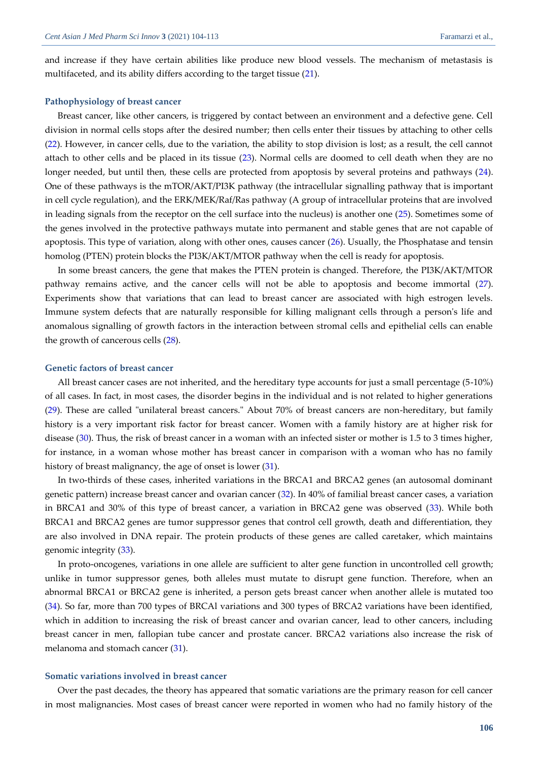and increase if they have certain abilities like produce new blood vessels. The mechanism of metastasis is multifaceted, and its ability differs according to the target tissue [\(21\)](#page-7-6).

# **Pathophysiology of breast cancer**

Breast cancer, like other cancers, is triggered by contact between an environment and a defective gene. Cell division in normal cells stops after the desired number; then cells enter their tissues by attaching to other cells [\(22\)](#page-7-7). However, in cancer cells, due to the variation, the ability to stop division is lost; as a result, the cell cannot attach to other cells and be placed in its tissue [\(23\)](#page-7-8). Normal cells are doomed to cell death when they are no longer needed, but until then, these cells are protected from apoptosis by several proteins and pathways [\(24\)](#page-7-9). One of these pathways is the mTOR/AKT/PI3K pathway (the intracellular signalling pathway that is important in cell cycle regulation), and the ERK/MEK/Raf/Ras pathway (A group of intracellular proteins that are involved in leading signals from the receptor on the cell surface into the nucleus) is another one [\(25\)](#page-7-10). Sometimes some of the genes involved in the protective pathways mutate into permanent and stable genes that are not capable of apoptosis. This type of variation, along with other ones, causes cancer [\(26\)](#page-7-11). Usually, the Phosphatase and tensin homolog (PTEN) protein blocks the PI3K/AKT/MTOR pathway when the cell is ready for apoptosis.

In some breast cancers, the gene that makes the PTEN protein is changed. Therefore, the PI3K/AKT/MTOR pathway remains active, and the cancer cells will not be able to apoptosis and become immortal [\(27\)](#page-7-12). Experiments show that variations that can lead to breast cancer are associated with high estrogen levels. Immune system defects that are naturally responsible for killing malignant cells through a person's life and anomalous signalling of growth factors in the interaction between stromal cells and epithelial cells can enable the growth of cancerous cells [\(28\)](#page-7-13).

### **Genetic factors of breast cancer**

All breast cancer cases are not inherited, and the hereditary type accounts for just a small percentage (5-10%) of all cases. In fact, in most cases, the disorder begins in the individual and is not related to higher generations [\(29\)](#page-7-14). These are called "unilateral breast cancers." About 70% of breast cancers are non-hereditary, but family history is a very important risk factor for breast cancer. Women with a family history are at higher risk for disease [\(30\)](#page-7-15). Thus, the risk of breast cancer in a woman with an infected sister or mother is 1.5 to 3 times higher, for instance, in a woman whose mother has breast cancer in comparison with a woman who has no family history of breast malignancy, the age of onset is lower [\(31\)](#page-7-16).

In two-thirds of these cases, inherited variations in the BRCA1 and BRCA2 genes (an autosomal dominant genetic pattern) increase breast cancer and ovarian cancer [\(32\)](#page-7-17). In 40% of familial breast cancer cases, a variation in BRCA1 and 30% of this type of breast cancer, a variation in BRCA2 gene was observed [\(33\)](#page-7-18). While both BRCA1 and BRCA2 genes are tumor suppressor genes that control cell growth, death and differentiation, they are also involved in DNA repair. The protein products of these genes are called caretaker, which maintains genomic integrity [\(33\)](#page-7-18).

In proto-oncogenes, variations in one allele are sufficient to alter gene function in uncontrolled cell growth; unlike in tumor suppressor genes, both alleles must mutate to disrupt gene function. Therefore, when an abnormal BRCA1 or BRCA2 gene is inherited, a person gets breast cancer when another allele is mutated too [\(34\)](#page-7-19). So far, more than 700 types of BRCAl variations and 300 types of BRCA2 variations have been identified, which in addition to increasing the risk of breast cancer and ovarian cancer, lead to other cancers, including breast cancer in men, fallopian tube cancer and prostate cancer. BRCA2 variations also increase the risk of melanoma and stomach cancer [\(31\)](#page-7-16).

# **Somatic variations involved in breast cancer**

Over the past decades, the theory has appeared that somatic variations are the primary reason for cell cancer in most malignancies. Most cases of breast cancer were reported in women who had no family history of the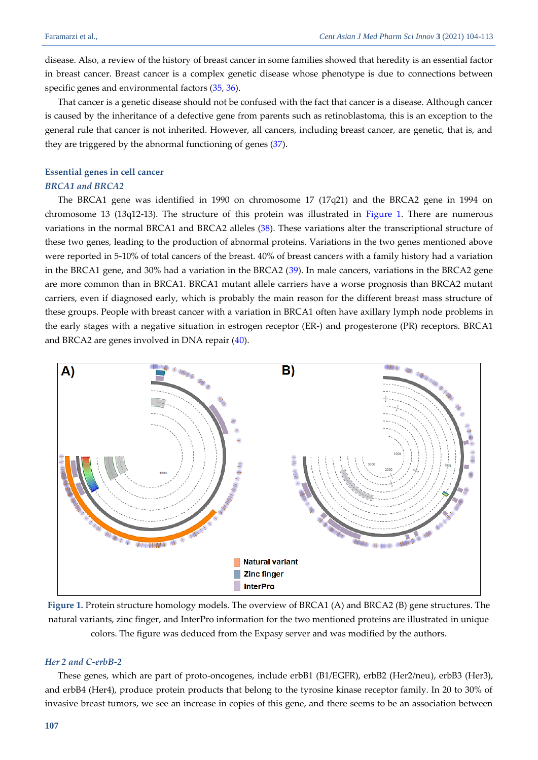disease. Also, a review of the history of breast cancer in some families showed that heredity is an essential factor in breast cancer. Breast cancer is a complex genetic disease whose phenotype is due to connections between specific genes and environmental factors [\(35,](#page-7-20) [36\)](#page-8-0).

That cancer is a genetic disease should not be confused with the fact that cancer is a disease. Although cancer is caused by the inheritance of a defective gene from parents such as retinoblastoma, this is an exception to the general rule that cancer is not inherited. However, all cancers, including breast cancer, are genetic, that is, and they are triggered by the abnormal functioning of genes [\(37\)](#page-8-1).

# **Essential genes in cell cancer** *BRCA1 and BRCA2*

The BRCA1 gene was identified in 1990 on chromosome 17 (17q21) and the BRCA2 gene in 1994 on chromosome 13 (13q12-13). The structure of this protein was illustrated in [Figure 1.](#page-3-0) There are numerous variations in the normal BRCA1 and BRCA2 alleles [\(38\)](#page-8-2). These variations alter the transcriptional structure of these two genes, leading to the production of abnormal proteins. Variations in the two genes mentioned above were reported in 5-10% of total cancers of the breast. 40% of breast cancers with a family history had a variation in the BRCA1 gene, and 30% had a variation in the BRCA2 [\(39\)](#page-8-3). In male cancers, variations in the BRCA2 gene are more common than in BRCA1. BRCA1 mutant allele carriers have a worse prognosis than BRCA2 mutant carriers, even if diagnosed early, which is probably the main reason for the different breast mass structure of these groups. People with breast cancer with a variation in BRCA1 often have axillary lymph node problems in the early stages with a negative situation in estrogen receptor (ER-) and progesterone (PR) receptors. BRCA1 and BRCA2 are genes involved in DNA repair [\(40\)](#page-8-4).



<span id="page-3-0"></span>**Figure 1.** Protein structure homology models. The overview of BRCA1 (A) and BRCA2 (B) gene structures. The natural variants, zinc finger, and InterPro information for the two mentioned proteins are illustrated in unique colors. The figure was deduced from the Expasy server and was modified by the authors.

# *Her 2 and C-erbB-2*

These genes, which are part of proto-oncogenes, include erbB1 (B1/EGFR), erbB2 (Her2/neu), erbB3 (Her3), and erbB4 (Her4), produce protein products that belong to the tyrosine kinase receptor family. In 20 to 30% of invasive breast tumors, we see an increase in copies of this gene, and there seems to be an association between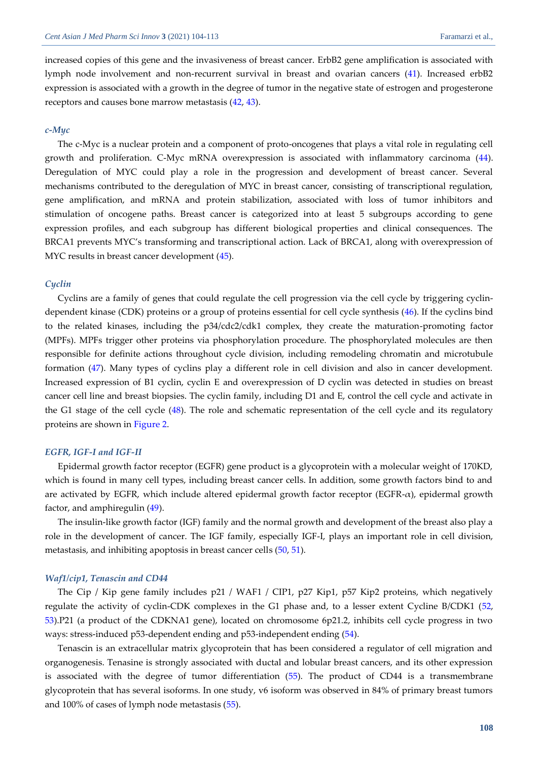increased copies of this gene and the invasiveness of breast cancer. ErbB2 gene amplification is associated with lymph node involvement and non-recurrent survival in breast and ovarian cancers [\(41\)](#page-8-5). Increased erbB2 expression is associated with a growth in the degree of tumor in the negative state of estrogen and progesterone receptors and causes bone marrow metastasis [\(42,](#page-8-6) [43\)](#page-8-7).

### *c-Myc*

The c-Myc is a nuclear protein and a component of proto-oncogenes that plays a vital role in regulating cell growth and proliferation. C-Myc mRNA overexpression is associated with inflammatory carcinoma [\(44\)](#page-8-8). Deregulation of MYC could play a role in the progression and development of breast cancer. Several mechanisms contributed to the deregulation of MYC in breast cancer, consisting of transcriptional regulation, gene amplification, and mRNA and protein stabilization, associated with loss of tumor inhibitors and stimulation of oncogene paths. Breast cancer is categorized into at least 5 subgroups according to gene expression profiles, and each subgroup has different biological properties and clinical consequences. The BRCA1 prevents MYC's transforming and transcriptional action. Lack of BRCA1, along with overexpression of MYC results in breast cancer development [\(45\)](#page-8-9).

# *Cyclin*

Cyclins are a family of genes that could regulate the cell progression via the cell cycle by triggering cyclindependent kinase (CDK) proteins or a group of proteins essential for cell cycle synthesis [\(46\)](#page-8-10). If the cyclins bind to the related kinases, including the p34/cdc2/cdk1 complex, they create the maturation-promoting factor (MPFs). MPFs trigger other proteins via phosphorylation procedure. The phosphorylated molecules are then responsible for definite actions throughout cycle division, including remodeling chromatin and microtubule formation [\(47\)](#page-8-11). Many types of cyclins play a different role in cell division and also in cancer development. Increased expression of B1 cyclin, cyclin E and overexpression of D cyclin was detected in studies on breast cancer cell line and breast biopsies. The cyclin family, including D1 and E, control the cell cycle and activate in the G1 stage of the cell cycle [\(48\)](#page-8-12). The role and schematic representation of the cell cycle and its regulatory proteins are shown in [Figure 2.](#page-5-0)

### *EGFR, IGF-I and IGF-II*

Epidermal growth factor receptor (EGFR) gene product is a glycoprotein with a molecular weight of 170KD, which is found in many cell types, including breast cancer cells. In addition, some growth factors bind to and are activated by EGFR, which include altered epidermal growth factor receptor (EGFR-α), epidermal growth factor, and amphiregulin [\(49\)](#page-8-13).

The insulin-like growth factor (IGF) family and the normal growth and development of the breast also play a role in the development of cancer. The IGF family, especially IGF-I, plays an important role in cell division, metastasis, and inhibiting apoptosis in breast cancer cells [\(50,](#page-8-14) [51\)](#page-8-15).

### *Waf1/cip1, Tenascin and CD44*

The Cip / Kip gene family includes p21 / WAF1 / CIP1, p27 Kip1, p57 Kip2 proteins, which negatively regulate the activity of cyclin-CDK complexes in the G1 phase and, to a lesser extent Cycline B/CDK1 [\(52,](#page-8-16)  [53\)](#page-8-17).P21 (a product of the CDKNA1 gene), located on chromosome 6p21.2, inhibits cell cycle progress in two ways: stress-induced p53-dependent ending and p53-independent ending [\(54\)](#page-9-0).

Tenascin is an extracellular matrix glycoprotein that has been considered a regulator of cell migration and organogenesis. Tenasine is strongly associated with ductal and lobular breast cancers, and its other expression is associated with the degree of tumor differentiation [\(55\)](#page-9-1). The product of CD44 is a transmembrane glycoprotein that has several isoforms. In one study, v6 isoform was observed in 84% of primary breast tumors and 100% of cases of lymph node metastasis [\(55\)](#page-9-1).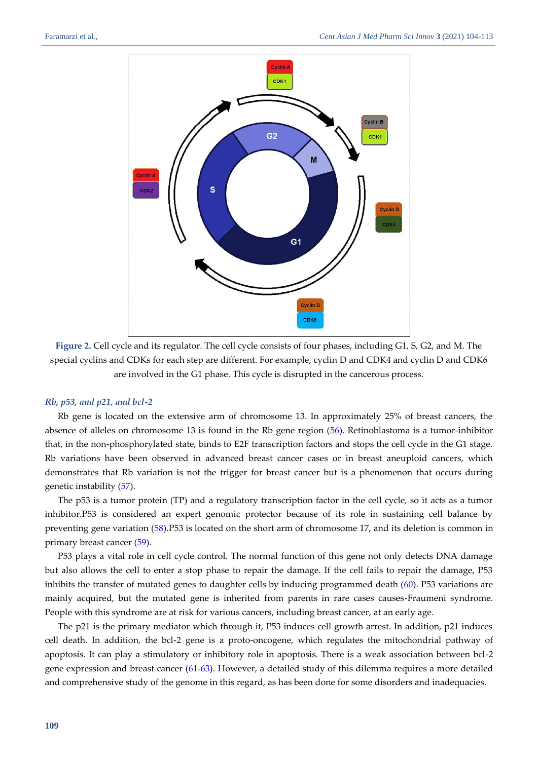

<span id="page-5-0"></span>**Figure 2.** Cell cycle and its regulator. The cell cycle consists of four phases, including G1, S, G2, and M. The special cyclins and CDKs for each step are different. For example, cyclin D and CDK4 and cyclin D and CDK6 are involved in the G1 phase. This cycle is disrupted in the cancerous process.

## *Rb, p53, and p21, and bcl-2*

Rb gene is located on the extensive arm of chromosome 13. In approximately 25% of breast cancers, the absence of alleles on chromosome 13 is found in the Rb gene region [\(56\)](#page-9-2). Retinoblastoma is a tumor-inhibitor that, in the non-phosphorylated state, binds to E2F transcription factors and stops the cell cycle in the G1 stage. Rb variations have been observed in advanced breast cancer cases or in breast aneuploid cancers, which demonstrates that Rb variation is not the trigger for breast cancer but is a phenomenon that occurs during genetic instability [\(57\)](#page-9-3).

The p53 is a tumor protein (TP) and a regulatory transcription factor in the cell cycle, so it acts as a tumor inhibitor.P53 is considered an expert genomic protector because of its role in sustaining cell balance by preventing gene variation [\(58\)](#page-9-4).P53 is located on the short arm of chromosome 17, and its deletion is common in primary breast cancer [\(59\)](#page-9-5).

P53 plays a vital role in cell cycle control. The normal function of this gene not only detects DNA damage but also allows the cell to enter a stop phase to repair the damage. If the cell fails to repair the damage, P53 inhibits the transfer of mutated genes to daughter cells by inducing programmed death [\(60\)](#page-9-6). P53 variations are mainly acquired, but the mutated gene is inherited from parents in rare cases causes-Fraumeni syndrome. People with this syndrome are at risk for various cancers, including breast cancer, at an early age.

The p21 is the primary mediator which through it, P53 induces cell growth arrest. In addition, p21 induces cell death. In addition, the bcl-2 gene is a proto-oncogene, which regulates the mitochondrial pathway of apoptosis. It can play a stimulatory or inhibitory role in apoptosis. There is a weak association between bcl-2 gene expression and breast cancer [\(61-](#page-9-7)[63\)](#page-9-8). However, a detailed study of this dilemma requires a more detailed and comprehensive study of the genome in this regard, as has been done for some disorders and inadequacies.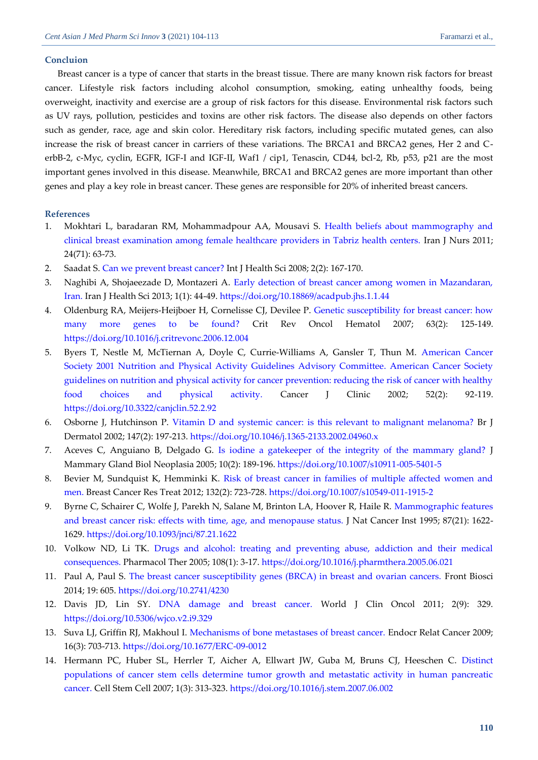# **Concluion**

Breast cancer is a type of cancer that starts in the breast tissue. There are many known risk factors for breast cancer. Lifestyle risk factors including alcohol consumption, smoking, eating unhealthy foods, being overweight, inactivity and exercise are a group of risk factors for this disease. Environmental risk factors such as UV rays, pollution, pesticides and toxins are other risk factors. The disease also depends on other factors such as gender, race, age and skin color. Hereditary risk factors, including specific mutated genes, can also increase the risk of breast cancer in carriers of these variations. The BRCA1 and BRCA2 genes, Her 2 and CerbB-2, c-Myc, cyclin, EGFR, IGF-I and IGF-II, Waf1 / cip1, Tenascin, CD44, bcl-2, Rb, p53, p21 are the most important genes involved in this disease. Meanwhile, BRCA1 and BRCA2 genes are more important than other genes and play a key role in breast cancer. These genes are responsible for 20% of inherited breast cancers.

# **References**

- <span id="page-6-0"></span>1. Mokhtari L, baradaran RM, Mohammadpour AA, Mousavi S. [Health beliefs about mammography and](http://ijn.iums.ac.ir/article-1-1005-en.pdf)  [clinical breast examination among female healthcare providers in Tabriz health centers.](http://ijn.iums.ac.ir/article-1-1005-en.pdf) Iran J Nurs 2011; 24(71): 63-73.
- <span id="page-6-1"></span>2. Saadat S. [Can we prevent breast cancer?](ijhs.org.sa/index.php/journal/article/download/127/97) Int J Health Sci 2008; 2(2): 167-170.
- <span id="page-6-2"></span>3. Naghibi A, Shojaeezade D, Montazeri A. [Early detection of breast cancer among women in Mazandaran,](http://jhs.mazums.ac.ir/files/site1/user_files_d258bd/rostamifaridehhsr-A-10-25-28-0a60852.pdf)  [Iran.](http://jhs.mazums.ac.ir/files/site1/user_files_d258bd/rostamifaridehhsr-A-10-25-28-0a60852.pdf) Iran J Health Sci 2013; 1(1): 44-49.<https://doi.org/10.18869/acadpub.jhs.1.1.44>
- <span id="page-6-3"></span>4. Oldenburg RA, Meijers-Heijboer H, Cornelisse CJ, Devilee P. [Genetic susceptibility for breast cancer: how](https://scholarlypublications.universiteitleiden.nl/access/item%3A2956656/download)  [many more genes to be found?](https://scholarlypublications.universiteitleiden.nl/access/item%3A2956656/download) Crit Rev Oncol Hematol 2007; 63(2): 125-149. <https://doi.org/10.1016/j.critrevonc.2006.12.004>
- <span id="page-6-4"></span>5. Byers T, Nestle M, McTiernan A, Doyle C, Currie‐Williams A, Gansler T, Thun M. [American Cancer](https://acsjournals.onlinelibrary.wiley.com/doi/pdfdirect/10.3322/canjclin.52.2.92)  [Society 2001 Nutrition and Physical Activity Guidelines Advisory Committee. American Cancer Society](https://acsjournals.onlinelibrary.wiley.com/doi/pdfdirect/10.3322/canjclin.52.2.92)  [guidelines on nutrition and physical activity for cancer prevention: reducing the risk of cancer with healthy](https://acsjournals.onlinelibrary.wiley.com/doi/pdfdirect/10.3322/canjclin.52.2.92)  [food choices and physical activity.](https://acsjournals.onlinelibrary.wiley.com/doi/pdfdirect/10.3322/canjclin.52.2.92) Cancer J Clinic 2002; 52(2): 92-119. <https://doi.org/10.3322/canjclin.52.2.92>
- <span id="page-6-5"></span>6. Osborne J, Hutchinson P. [Vitamin D and systemic cancer: is this relevant to malignant melanoma?](https://srv2.freepaper.me/n/GxhiftLwuUM00tDJv_gr7w/PDF/e7/e7e0a73818bc24de0e75cfc2fe77c115.pdf) Br J Dermatol 2002; 147(2): 197-213[. https://doi.org/10.1046/j.1365-2133.2002.04960.x](https://doi.org/10.1046/j.1365-2133.2002.04960.x)
- <span id="page-6-6"></span>7. Aceves C, Anguiano B, Delgado G. [Is iodine a gatekeeper of the integrity of the mammary gland?](https://d1wqtxts1xzle7.cloudfront.net/50696204/Is_Iodine_A_Gatekeeper_of_the_Integrity_20161203-18979-132zugv.pdf?1480788605=&response-content-disposition=inline%3B+filename%3DIs_Iodine_A_Gatekeeper_of_the_Integrity.pdf&Expires=1621667724&Signature=cbbypsKHLKOb3HikXfbGxDTZt~ZBpPso7Xa76gDC3w6xvRvISrNnRuPXp7x-4cIxLDaJe7IWanGw9c1liIXxVLHNh~R66OaTsjzG8YRySBiuNeMJlzqXkMZiTy0M-XQSQIURjw25oDqeJbc20nwCm~79nyL7-hhWdrB0RcE1ovIyu2DEg-f7GM5cSiAUSaNHYskR2vDhubc6ji9zMOocHnyjiopoQksXV~3eIhmTWX03rS0Pfi0uW~dTWsekVW2uY74-QTqbexVdWn2rnZN3ZE4SNtsLyl-AfWC4urf9orjWG2Oty0Ard8sKDeYEvzycbPTf3epEkIe2Qrzd8wl2kw__&Key-Pair-Id=APKAJLOHF5GGSLRBV4ZA) J Mammary Gland Biol Neoplasia 2005; 10(2): 189-196.<https://doi.org/10.1007/s10911-005-5401-5>
- <span id="page-6-7"></span>8. Bevier M, Sundquist K, Hemminki K. [Risk of breast cancer in families of multiple affected women and](https://freepaper.me/d/PDF/3f/3ff2fc7bd8111f1769ac987a85d1c4c2.pdf?hash=sbViSIVv-7d4M4P2PaQqLw&doi=10.1007/s10549-011-1915-2&title=&save=1%20%20%20%20%20%20%20%20%20%20%20%20%20%20%20%20style=)  [men.](https://freepaper.me/d/PDF/3f/3ff2fc7bd8111f1769ac987a85d1c4c2.pdf?hash=sbViSIVv-7d4M4P2PaQqLw&doi=10.1007/s10549-011-1915-2&title=&save=1%20%20%20%20%20%20%20%20%20%20%20%20%20%20%20%20style=) Breast Cancer Res Treat 2012; 132(2): 723-728[. https://doi.org/10.1007/s10549-011-1915-2](https://doi.org/10.1007/s10549-011-1915-2)
- <span id="page-6-8"></span>9. Byrne C, Schairer C, Wolfe J, Parekh N, Salane M, Brinton LA, Hoover R, Haile R. [Mammographic features](https://srv2.freepaper.me/n/_R_P5h14OVGP3GBn-yMJuA/PDF/7b/7b151ca405f7d248726125ac8a42fa17.pdf)  [and breast cancer risk: effects with time, age, and menopause status.](https://srv2.freepaper.me/n/_R_P5h14OVGP3GBn-yMJuA/PDF/7b/7b151ca405f7d248726125ac8a42fa17.pdf) J Nat Cancer Inst 1995; 87(21): 1622- 1629.<https://doi.org/10.1093/jnci/87.21.1622>
- <span id="page-6-9"></span>10. Volkow ND, Li TK. [Drugs and alcohol: treating and preventing abuse, addiction and their medical](https://srv2.freepaper.me/n/q31EkRrmJ26_LnLjI6Hoow/PDF/f5/f57955524e593d9fb83a3653b2012ddc.pdf)  [consequences.](https://srv2.freepaper.me/n/q31EkRrmJ26_LnLjI6Hoow/PDF/f5/f57955524e593d9fb83a3653b2012ddc.pdf) Pharmacol Ther 2005; 108(1): 3-17. <https://doi.org/10.1016/j.pharmthera.2005.06.021>
- <span id="page-6-10"></span>11. Paul A, Paul S. [The breast cancer susceptibility genes \(BRCA\) in breast and ovarian cancers.](https://www.fbscience.com/Landmark/articles/pdf/Landmark4230.pdf) Front Biosci 2014; 19: 605.<https://doi.org/10.2741/4230>
- <span id="page-6-11"></span>12. Davis JD, Lin SY. [DNA damage and breast cancer.](https://www.researchgate.net/profile/Shiaw-Yih-Lin/publication/51640886_DNA_damage_and_breast_cancer/links/55456e770cf24107d397c524/DNA-damage-and-breast-cancer.pdf) World J Clin Oncol 2011; 2(9): 329. <https://doi.org/10.5306/wjco.v2.i9.329>
- <span id="page-6-12"></span>13. Suva LJ, Griffin RJ, Makhoul I. [Mechanisms of bone metastases of breast cancer.](http://citeseerx.ist.psu.edu/viewdoc/download?doi=10.1.1.542.3979&rep=rep1&type=pdf) Endocr Relat Cancer 2009; 16(3): 703-713. <https://doi.org/10.1677/ERC-09-0012>
- <span id="page-6-13"></span>14. Hermann PC, Huber SL, Herrler T, Aicher A, Ellwart JW, Guba M, Bruns CJ, Heeschen C. [Distinct](https://core.ac.uk/download/pdf/81112244.pdf)  [populations of cancer stem cells determine tumor growth and metastatic activity in human pancreatic](https://core.ac.uk/download/pdf/81112244.pdf)  [cancer.](https://core.ac.uk/download/pdf/81112244.pdf) Cell Stem Cell 2007; 1(3): 313-323[. https://doi.org/10.1016/j.stem.2007.06.002](https://doi.org/10.1016/j.stem.2007.06.002)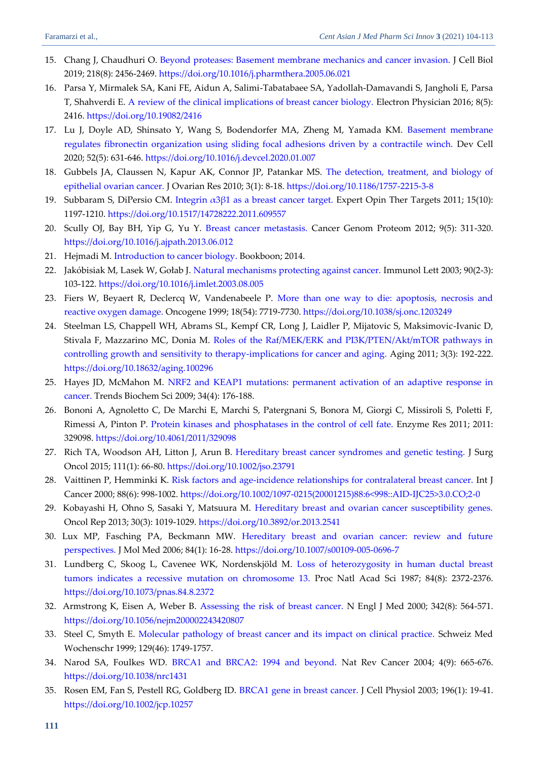- <span id="page-7-0"></span>15. Chang J, Chaudhuri O. [Beyond proteases: Basement membrane mechanics and cancer invasion.](https://srv2.freepaper.me/n/q31EkRrmJ26_LnLjI6Hoow/PDF/f5/f57955524e593d9fb83a3653b2012ddc.pdf) J Cell Biol 2019; 218(8): 2456-2469.<https://doi.org/10.1016/j.pharmthera.2005.06.021>
- <span id="page-7-1"></span>16. Parsa Y, Mirmalek SA, Kani FE, Aidun A, Salimi-Tabatabaee SA, Yadollah-Damavandi S, Jangholi E, Parsa T, Shahverdi E. [A review of the clinical implications of breast cancer biology.](http://www.ephysician.ir/2016/2416.pdf) Electron Physician 2016; 8(5): 2416.<https://doi.org/10.19082/2416>
- <span id="page-7-2"></span>17. Lu J, Doyle AD, Shinsato Y, Wang S, Bodendorfer MA, Zheng M, Yamada KM. [Basement membrane](https://freepaper.me/d/PDF/c1/c1573b4885684971cf71ccfdcc67e682.pdf?hash=PmaguTmyGru8v1iK2LAuqg&doi=10.1016/j.devcel.2020.01.007&title=&save=1%20%20%20%20%20%20%20%20%20%20%20%20%20%20%20%20style=)  [regulates fibronectin organization using sliding focal adhesions driven by a contractile winch.](https://freepaper.me/d/PDF/c1/c1573b4885684971cf71ccfdcc67e682.pdf?hash=PmaguTmyGru8v1iK2LAuqg&doi=10.1016/j.devcel.2020.01.007&title=&save=1%20%20%20%20%20%20%20%20%20%20%20%20%20%20%20%20style=) Dev Cell 2020; 52(5): 631-646.<https://doi.org/10.1016/j.devcel.2020.01.007>
- <span id="page-7-3"></span>18. Gubbels JA, Claussen N, Kapur AK, Connor JP, Patankar MS. [The detection, treatment, and biology of](https://core.ac.uk/download/pdf/190745313.pdf)  [epithelial ovarian cancer.](https://core.ac.uk/download/pdf/190745313.pdf) J Ovarian Res 2010; 3(1): 8-18.<https://doi.org/10.1186/1757-2215-3-8>
- <span id="page-7-4"></span>19. Subbaram S, DiPersio CM. [Integrin α3β1 as a breast cancer target.](http://europepmc.org/backend/ptpmcrender.fcgi?accid=PMC3212412&blobtype=pdf) Expert Opin Ther Targets 2011; 15(10): 1197-1210.<https://doi.org/10.1517/14728222.2011.609557>
- <span id="page-7-5"></span>20. Scully OJ, Bay BH, Yip G, Yu Y. [Breast cancer metastasis.](https://cgp.iiarjournals.org/content/cgp/9/5/311.full-text.pdf) Cancer Genom Proteom 2012; 9(5): 311-320. <https://doi.org/10.1016/j.ajpath.2013.06.012>
- <span id="page-7-6"></span>21. Hejmadi M. [Introduction to cancer biology.](https://d1wqtxts1xzle7.cloudfront.net/56538763/introduction-to-cancer-biology.pdf?1526032307=&response-content-disposition=inline%3B+filename%3Dintroduction_to_cancer_biology_pdf.pdf&Expires=1621682849&Signature=OmEiKHzG4G6vTh1T4xVazVgrk9QZmUgbgFfsqNAGDxzM9MkIua1c5zCSsoUwg9Ya8jsT5lu~90rCcJHScaIkL1Cw0XKx-ISHlOR9CNf6gaXCdfOKDN6Mgex37AjdxQj8JJl5DQ7QryiA3gL6UwplwPsvEVWApW3zdGbF7EsZDy3PFBp1ZMqDA1JwnbhPrXFYM7l3ThA4WxLS5cdgWaHH6rZTZuzWRNP6-rcNkbu8EUsrIgx396YqaI0-n0gYMUsm38fB4Y5FL6FT~Q84Iv-E~hF4tb5sOEYs1kc53BsFMrl2ZuEJjqBx1PYQZwXq22xZc1h9WwPIWmSsTak1DwCKXQ__&Key-Pair-Id=APKAJLOHF5GGSLRBV4ZA) Bookboon; 2014.
- <span id="page-7-7"></span>22. Jakóbisiak M, Lasek W, Gołab J. [Natural mechanisms protecting against cancer.](https://www.sciencedirect.com/science/article/abs/pii/S0165247803001949) Immunol Lett 2003; 90(2-3): 103-122[. https://doi.org/10.1016/j.imlet.2003.08.005](https://doi.org/10.1016/j.imlet.2003.08.005)
- <span id="page-7-8"></span>23. Fiers W, Beyaert R, Declercq W, Vandenabeele P. [More than one way to die: apoptosis, necrosis and](https://www.irc.ugent.be/fileadmin/public/subwebs/fiers/1020_99Fiers.pdf)  [reactive oxygen damage.](https://www.irc.ugent.be/fileadmin/public/subwebs/fiers/1020_99Fiers.pdf) Oncogene 1999; 18(54): 7719-7730. <https://doi.org/10.1038/sj.onc.1203249>
- <span id="page-7-9"></span>24. Steelman LS, Chappell WH, Abrams SL, Kempf CR, Long J, Laidler P, Mijatovic S, Maksimovic-Ivanic D, Stivala F, Mazzarino MC, Donia M. [Roles of the Raf/MEK/ERK and PI3K/PTEN/Akt/mTOR pathways in](http://europepmc.org/backend/ptpmcrender.fcgi?accid=PMC3091517&blobtype=pdf)  [controlling growth and sensitivity to therapy-implications for cancer and aging.](http://europepmc.org/backend/ptpmcrender.fcgi?accid=PMC3091517&blobtype=pdf) Aging 2011; 3(3): 192-222. <https://doi.org/10.18632/aging.100296>
- <span id="page-7-10"></span>25. Hayes JD, McMahon M. [NRF2 and KEAP1 mutations: permanent activation of an adaptive response in](https://freepaper.me/d/PDF/4d/4defa665d678730ba4b6c790788d4151.pdf?hash=bLa_9TxH3EHf1HgZEr17ew&doi=10.1016/j.tibs.2008.12.008&title=&save=1%20%20%20%20%20%20%20%20%20%20%20%20%20%20%20%20style=)  [cancer.](https://freepaper.me/d/PDF/4d/4defa665d678730ba4b6c790788d4151.pdf?hash=bLa_9TxH3EHf1HgZEr17ew&doi=10.1016/j.tibs.2008.12.008&title=&save=1%20%20%20%20%20%20%20%20%20%20%20%20%20%20%20%20style=) Trends Biochem Sci 2009; 34(4): 176-188.
- <span id="page-7-11"></span>26. Bononi A, Agnoletto C, De Marchi E, Marchi S, Patergnani S, Bonora M, Giorgi C, Missiroli S, Poletti F, Rimessi A, Pinton P. [Protein kinases and phosphatases in the control of cell fate.](https://downloads.hindawi.com/archive/2011/329098.pdf) Enzyme Res 2011; 2011: 329098.<https://doi.org/10.4061/2011/329098>
- <span id="page-7-12"></span>27. Rich TA, Woodson AH, Litton J, Arun B. [Hereditary breast cancer syndromes and genetic testing.](https://onlinelibrary.wiley.com/doi/abs/10.1002/jso.23791) J Surg Oncol 2015; 111(1): 66-80.<https://doi.org/10.1002/jso.23791>
- <span id="page-7-13"></span>28. Vaittinen P, Hemminki K. [Risk factors and age-incidence relationships for contralateral breast cancer.](https://onlinelibrary.wiley.com/doi/pdf/10.1002/1097-0215(20001215)88:6%3C998::AID-IJC25%3E3.0.CO;2-0) Int J Cancer 2000; 88(6): 998-1002[. https://doi.org/10.1002/1097-0215\(20001215\)88:6<998::AID-IJC25>3.0.CO;2-0](https://doi.org/10.1002/1097-0215(20001215)88:6%3c998::AID-IJC25%3e3.0.CO;2-0)
- <span id="page-7-14"></span>29. Kobayashi H, Ohno S, Sasaki Y, Matsuura M. [Hereditary breast and ovarian cancer susceptibility genes.](http://www.spandidos-publications.com/or/30/3/1019/download) Oncol Rep 2013; 30(3): 1019-1029.<https://doi.org/10.3892/or.2013.2541>
- <span id="page-7-15"></span>30. Lux MP, Fasching PA, Beckmann MW. [Hereditary breast and ovarian cancer: review and future](https://link.springer.com/content/pdf/10.1007/s00109-005-0696-7.pdf)  [perspectives.](https://link.springer.com/content/pdf/10.1007/s00109-005-0696-7.pdf) J Mol Med 2006; 84(1): 16-28.<https://doi.org/10.1007/s00109-005-0696-7>
- <span id="page-7-16"></span>31. Lundberg C, Skoog L, Cavenee WK, Nordenskjöld M. [Loss of heterozygosity in human ductal breast](https://www.pnas.org/content/pnas/84/8/2372.full.pdf)  [tumors indicates a recessive mutation on chromosome 13.](https://www.pnas.org/content/pnas/84/8/2372.full.pdf) Proc Natl Acad Sci 1987; 84(8): 2372-2376. <https://doi.org/10.1073/pnas.84.8.2372>
- <span id="page-7-17"></span>32. Armstrong K, Eisen A, Weber B. [Assessing the risk of breast cancer.](http://www.jacobimed.org/public/Ambulatory_files/mlove/CurriculumWomenandGeri/Breast%20Care/Breast%20Care%20articles/assessing%20the%20risk%20of%20breast%20ca.1.pdf) N Engl J Med 2000; 342(8): 564-571. <https://doi.org/10.1056/nejm200002243420807>
- <span id="page-7-18"></span>33. Steel C, Smyth E. [Molecular pathology of breast cancer and its impact on clinical practice.](https://europepmc.org/article/med/10603648) Schweiz Med Wochenschr 1999; 129(46): 1749-1757.
- <span id="page-7-19"></span>34. Narod SA, Foulkes WD. [BRCA1 and BRCA2: 1994 and beyond.](https://www.mcgill.ca/cancerprev/files/cancerprev/nrc_NF.pdf) Nat Rev Cancer 2004; 4(9): 665-676. <https://doi.org/10.1038/nrc1431>
- <span id="page-7-20"></span>35. Rosen EM, Fan S, Pestell RG, Goldberg ID. [BRCA1 gene in breast cancer.](https://www.researchgate.net/profile/Saijun-Fan/publication/10743242_BRCA1_gene_in_breast_cancer/links/5b650762aca2724c1f202c25/BRCA1-gene-in-breast-cancer.pdf) J Cell Physiol 2003; 196(1): 19-41. <https://doi.org/10.1002/jcp.10257>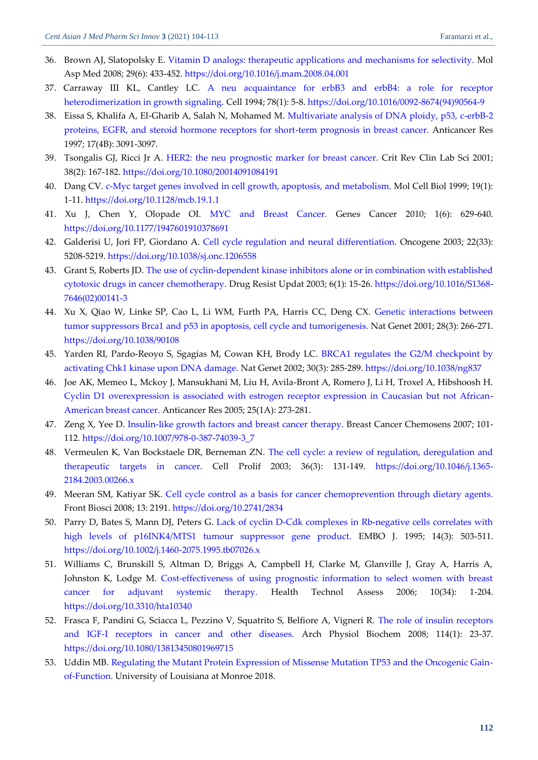- <span id="page-8-0"></span>36. Brown AJ, Slatopolsky E. [Vitamin D analogs: therapeutic applications and mechanisms for selectivity.](https://freepaper.me/d/PDF/43/4327d841bdd9d2ad05054b9fbbe930df.pdf?hash=RJRA0ZSmVNzcUGZrS60CCw&doi=10.1016/j.mam.2008.04.001&title=&save=1%20%20%20%20%20%20%20%20%20%20%20%20%20%20%20%20style=) Mol Asp Med 2008; 29(6): 433-452[. https://doi.org/10.1016/j.mam.2008.04.001](https://doi.org/10.1016/j.mam.2008.04.001)
- <span id="page-8-1"></span>37. Carraway III KL, Cantley LC. [A neu acquaintance for erbB3 and erbB4: a role for receptor](https://www.cell.com/cell/pdf/0092-8674(94)90564-9.pdf)  [heterodimerization in growth signaling.](https://www.cell.com/cell/pdf/0092-8674(94)90564-9.pdf) Cell 1994; 78(1): 5-8[. https://doi.org/10.1016/0092-8674\(94\)90564-9](https://doi.org/10.1016/0092-8674(94)90564-9)
- <span id="page-8-2"></span>38. Eissa S, Khalifa A, El-Gharib A, Salah N, Mohamed M. Multivariate analysis of DNA ploidy, p53, c-erbB-2 [proteins, EGFR, and steroid hormone receptors for short-term prognosis in breast cancer.](https://europepmc.org/article/med/9329609) Anticancer Res 1997; 17(4B): 3091-3097.
- <span id="page-8-3"></span>39. Tsongalis GJ, Ricci Jr A. [HER2: the neu prognostic marker for breast cancer.](https://freepaper.me/d/PDF/06/06bca05f7625381171ecc7b26a063415.pdf?hash=NCBI5JH1vVYJZBo02Y0WnA&doi=10.1080/20014091084191&title=&save=1%20%20%20%20%20%20%20%20%20%20%20%20%20%20%20%20style=) Crit Rev Clin Lab Sci 2001; 38(2): 167-182.<https://doi.org/10.1080/20014091084191>
- <span id="page-8-4"></span>40. Dang CV. [c-Myc target genes involved in cell growth, apoptosis, and metabolism.](https://mcb.asm.org/content/mcb/19/1/1.full.pdf) Mol Cell Biol 1999; 19(1): 1-11[. https://doi.org/10.1128/mcb.19.1.1](https://doi.org/10.1128/mcb.19.1.1)
- <span id="page-8-5"></span>41. Xu J, Chen Y, Olopade OI. [MYC and Breast Cancer.](https://d1wqtxts1xzle7.cloudfront.net/40816782/MYC_and_Breast_Cancer.pdf?1450531597=&response-content-disposition=inline%3B+filename%3DMYC_and_Breast_Cancer.pdf&Expires=1621844830&Signature=LvvjPC~iN2-nTBIeReEwVAHdIiALqeSNer~h1SzfoC6w3jIQS~a6un~-dc3x6lFRcE~s~J3Ih7fjNPBJY~Aq7bj1MUi~uAnDPXAfbW2U2jyyezZ5~meYFmcBVripsUtiSvAgq1DzbvYqCOYXXdhH3X3g~JTPLZZxZcZYBDnA-ObmlRAsWL7zOy5H6gxIQOD8lDYaKlEG-k5eb18xjtFhiidR5HBImejJnlplwf2cMlKqLhO5DUFblyY8Tm7Ga~AD8j6sFo6jdtduaet3IIOeAPnC2xFNKLTd1KcCvdqseX8K2xXK6mr9UaHYYYNQaDv7IRbrKeVhSyq8I~NfWaxhAw__&Key-Pair-Id=APKAJLOHF5GGSLRBV4ZA) Genes Cancer 2010; 1(6): 629-640. <https://doi.org/10.1177/1947601910378691>
- <span id="page-8-6"></span>42. Galderisi U, Jori FP, Giordano A. [Cell cycle regulation and neural differentiation.](https://www.nature.com/articles/1206558.pdf) Oncogene 2003; 22(33): 5208-5219.<https://doi.org/10.1038/sj.onc.1206558>
- <span id="page-8-7"></span>43. Grant S, Roberts JD. The use of cyclin-dependent [kinase inhibitors alone or in combination with established](https://freepaper.me/d/PDF/f3/f3211d783e6fa27b27f0c1c9c116afea.pdf?hash=udPDMcV8qpZFQ0_U_jwyfw&doi=10.1016/S1368-7646(02)00141-3&title=&save=1%20%20%20%20%20%20%20%20%20%20%20%20%20%20%20%20style=)  [cytotoxic drugs in cancer chemotherapy.](https://freepaper.me/d/PDF/f3/f3211d783e6fa27b27f0c1c9c116afea.pdf?hash=udPDMcV8qpZFQ0_U_jwyfw&doi=10.1016/S1368-7646(02)00141-3&title=&save=1%20%20%20%20%20%20%20%20%20%20%20%20%20%20%20%20style=) Drug Resist Updat 2003; 6(1): 15-26. [https://doi.org/10.1016/S1368-](https://doi.org/10.1016/S1368-7646(02)00141-3) [7646\(02\)00141-3](https://doi.org/10.1016/S1368-7646(02)00141-3)
- <span id="page-8-8"></span>44. Xu X, Qiao W, Linke SP, Cao L, Li WM, Furth PA, Harris CC, Deng CX. [Genetic interactions between](https://www.researchgate.net/profile/Priscilla_Furth/publication/305033776_Genetic_interactions_between_tumor_suppressors_Brca1_and_p53_in_apoptosis_cell_cycle_and_tumorigenesis/links/577f8f0408ae9485a439a0b8/Genetic-interactions-between-tumor-suppressors-Brca1-and-p53-in-apoptosis-cell-cycle-and-tumorigenesis.pdf)  [tumor suppressors Brca1 and p53 in apoptosis, cell cycle and tumorigenesis.](https://www.researchgate.net/profile/Priscilla_Furth/publication/305033776_Genetic_interactions_between_tumor_suppressors_Brca1_and_p53_in_apoptosis_cell_cycle_and_tumorigenesis/links/577f8f0408ae9485a439a0b8/Genetic-interactions-between-tumor-suppressors-Brca1-and-p53-in-apoptosis-cell-cycle-and-tumorigenesis.pdf) Nat Genet 2001; 28(3): 266-271. <https://doi.org/10.1038/90108>
- <span id="page-8-9"></span>45. Yarden RI, Pardo-Reoyo S, Sgagias M, Cowan KH, Brody LC. [BRCA1 regulates the G2/M checkpoint by](https://www.researchgate.net/profile/Lawrence-Brody/publication/11523404_BRCA1_regulates_the_G2M_checkpoint_by_activating_Chk1_kinase_upon_DNA_damage/links/0912f50c6128e8a5d0000000/BRCA1-regulates-the-G2-M-checkpoint-by-activating-Chk1-kinase-upon-DNA-damage.pdf)  [activating Chk1 kinase upon DNA damage.](https://www.researchgate.net/profile/Lawrence-Brody/publication/11523404_BRCA1_regulates_the_G2M_checkpoint_by_activating_Chk1_kinase_upon_DNA_damage/links/0912f50c6128e8a5d0000000/BRCA1-regulates-the-G2-M-checkpoint-by-activating-Chk1-kinase-upon-DNA-damage.pdf) Nat Genet 2002; 30(3): 285-289[. https://doi.org/10.1038/ng837](https://doi.org/10.1038/ng837)
- <span id="page-8-10"></span>46. Joe AK, Memeo L, Mckoy J, Mansukhani M, Liu H, Avila-Bront A, Romero J, Li H, Troxel A, Hibshoosh H. [Cyclin D1 overexpression is associated with estrogen receptor expression in Caucasian but not African-](https://ar.iiarjournals.org/content/25/1A/273.full.pdf)[American breast cancer.](https://ar.iiarjournals.org/content/25/1A/273.full.pdf) Anticancer Res 2005; 25(1A): 273-281.
- <span id="page-8-11"></span>47. Zeng X, Yee D. [Insulin-like growth factors and breast cancer therapy.](https://link.springer.com/chapter/10.1007/978-0-387-74039-3_7) Breast Cancer Chemosens 2007; 101- 112. [https://doi.org/10.1007/978-0-387-74039-3\\_7](https://doi.org/10.1007/978-0-387-74039-3_7)
- <span id="page-8-12"></span>48. Vermeulen K, Van Bockstaele DR, Berneman ZN. [The cell cycle: a review of regulation, deregulation and](https://onlinelibrary.wiley.com/doi/epdf/10.1046/j.1365-2184.2003.00266.x)  [therapeutic targets in cancer.](https://onlinelibrary.wiley.com/doi/epdf/10.1046/j.1365-2184.2003.00266.x) Cell Prolif 2003; 36(3): 131-149. [https://doi.org/10.1046/j.1365-](https://doi.org/10.1046/j.1365-2184.2003.00266.x) [2184.2003.00266.x](https://doi.org/10.1046/j.1365-2184.2003.00266.x)
- <span id="page-8-13"></span>49. Meeran SM, Katiyar SK. [Cell cycle control as a basis for cancer chemoprevention through dietary agents.](https://www.fbscience.com/Landmark/articles/pdf/Landmark2834.pdf) Front Biosci 2008; 13: 2191.<https://doi.org/10.2741/2834>
- <span id="page-8-14"></span>50. Parry D, Bates S, Mann DJ, Peters G. [Lack of cyclin D‐Cdk complexes in Rb‐negative cells correlates with](https://onlinelibrary.wiley.com/doi/pdfdirect/10.1002/j.1460-2075.1995.tb07026.x)  [high levels of p16INK4/MTS1 tumour suppressor gene product.](https://onlinelibrary.wiley.com/doi/pdfdirect/10.1002/j.1460-2075.1995.tb07026.x) EMBO J. 1995; 14(3): 503-511. <https://doi.org/10.1002/j.1460-2075.1995.tb07026.x>
- <span id="page-8-15"></span>51. Williams C, Brunskill S, Altman D, Briggs A, Campbell H, Clarke M, Glanville J, Gray A, Harris A, Johnston K, Lodge M. [Cost-effectiveness of using prognostic information to select women with breast](https://njl-admin.nihr.ac.uk/document/download/2001332)  [cancer for adjuvant systemic therapy.](https://njl-admin.nihr.ac.uk/document/download/2001332) Health Technol Assess 2006; 10(34): 1-204. <https://doi.org/10.3310/hta10340>
- <span id="page-8-16"></span>52. Frasca F, Pandini G, Sciacca L, Pezzino V, Squatrito S, Belfiore A, Vigneri R. [The role of insulin receptors](https://www.tandfonline.com/doi/abs/10.1080/13813450801969715)  [and IGF-I receptors in cancer and other diseases.](https://www.tandfonline.com/doi/abs/10.1080/13813450801969715) Arch Physiol Biochem 2008; 114(1): 23-37. <https://doi.org/10.1080/13813450801969715>
- <span id="page-8-17"></span>53. Uddin MB. [Regulating the Mutant Protein Expression of Missense Mutation TP53 and the Oncogenic Gain](https://www.proquest.com/openview/82955cf688ed101acdbd290f4020f3e7/1?cbl=18750&diss=y&pq-origsite=gscholar)[of-Function.](https://www.proquest.com/openview/82955cf688ed101acdbd290f4020f3e7/1?cbl=18750&diss=y&pq-origsite=gscholar) University of Louisiana at Monroe 2018.